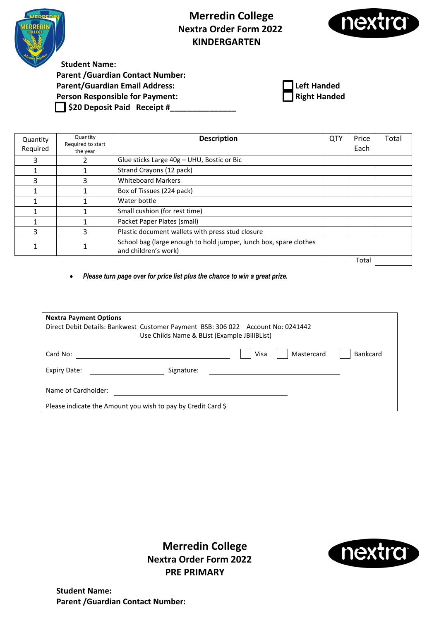

## **Merredin College Nextra Order Form 2022 KINDERGARTEN**



**Student Name: Parent /Guardian Contact Number: Parent/Guardian Email Address: Left Handed Person Responsible for Payment: Right Handed \$20 Deposit Paid Receipt #\_\_\_\_\_\_\_\_\_\_\_\_\_\_\_**



| Quantity<br>Required | Quantity<br>Required to start<br>the year | <b>Description</b>                                                                        | QTY | Price<br>Each | Total |
|----------------------|-------------------------------------------|-------------------------------------------------------------------------------------------|-----|---------------|-------|
|                      |                                           | Glue sticks Large 40g - UHU, Bostic or Bic                                                |     |               |       |
|                      |                                           | Strand Crayons (12 pack)                                                                  |     |               |       |
|                      |                                           | <b>Whiteboard Markers</b>                                                                 |     |               |       |
|                      |                                           | Box of Tissues (224 pack)                                                                 |     |               |       |
|                      |                                           | Water bottle                                                                              |     |               |       |
|                      |                                           | Small cushion (for rest time)                                                             |     |               |       |
|                      |                                           | Packet Paper Plates (small)                                                               |     |               |       |
| 3                    | 3                                         | Plastic document wallets with press stud closure                                          |     |               |       |
|                      |                                           | School bag (large enough to hold jumper, lunch box, spare clothes<br>and children's work) |     |               |       |
|                      |                                           |                                                                                           |     | Total         |       |

• *Please turn page over for price list plus the chance to win a great prize.*

| <b>Nextra Payment Options</b>                                                    |                                              |      |            |                 |
|----------------------------------------------------------------------------------|----------------------------------------------|------|------------|-----------------|
| Direct Debit Details: Bankwest Customer Payment BSB: 306 022 Account No: 0241442 |                                              |      |            |                 |
|                                                                                  | Use Childs Name & BList (Example JBillBList) |      |            |                 |
|                                                                                  |                                              |      |            |                 |
| Card No:                                                                         |                                              | Visa | Mastercard | <b>Bankcard</b> |
| Expiry Date:                                                                     | Signature:                                   |      |            |                 |
|                                                                                  |                                              |      |            |                 |
| Name of Cardholder:                                                              |                                              |      |            |                 |
|                                                                                  |                                              |      |            |                 |
| Please indicate the Amount you wish to pay by Credit Card \$                     |                                              |      |            |                 |

**Merredin College Nextra Order Form 2022 PRE PRIMARY**

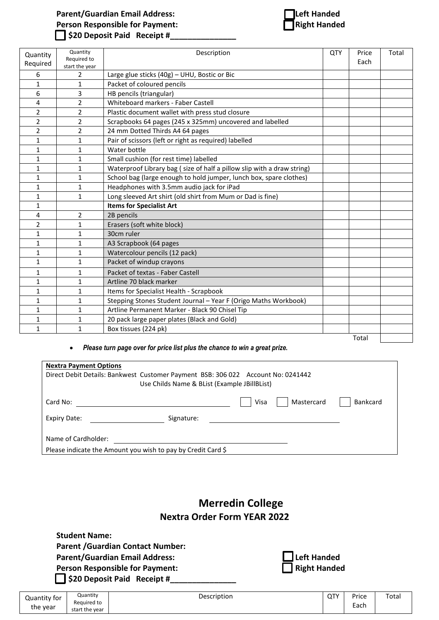### **Parent/Guardian Email Address:**<br> **Person Responsible for Payment: Left Handed**<br> **Left Handed Person Responsible for Payment: \$20 Deposit Paid Receipt #\_\_\_\_\_\_\_\_\_\_\_\_\_\_\_**



| Quantity<br>Required | Quantity<br>Required to<br>start the year | Description                                                            | QTY | Price<br>Each | Total |
|----------------------|-------------------------------------------|------------------------------------------------------------------------|-----|---------------|-------|
| 6                    | $\overline{2}$                            | Large glue sticks (40g) - UHU, Bostic or Bic                           |     |               |       |
| $\mathbf{1}$         | $\mathbf{1}$                              | Packet of coloured pencils                                             |     |               |       |
| 6                    | 3                                         | HB pencils (triangular)                                                |     |               |       |
| 4                    | $\overline{2}$                            | Whiteboard markers - Faber Castell                                     |     |               |       |
| $\overline{2}$       | $\overline{2}$                            | Plastic document wallet with press stud closure                        |     |               |       |
| $\overline{2}$       | $\overline{2}$                            | Scrapbooks 64 pages (245 x 325mm) uncovered and labelled               |     |               |       |
| 2                    | $\overline{2}$                            | 24 mm Dotted Thirds A4 64 pages                                        |     |               |       |
| $\mathbf{1}$         | $\mathbf{1}$                              | Pair of scissors (left or right as required) labelled                  |     |               |       |
| 1                    | 1                                         | Water bottle                                                           |     |               |       |
| $\mathbf{1}$         | $\mathbf{1}$                              | Small cushion (for rest time) labelled                                 |     |               |       |
| 1                    | 1                                         | Waterproof Library bag (size of half a pillow slip with a draw string) |     |               |       |
| $\mathbf{1}$         | $\mathbf{1}$                              | School bag (large enough to hold jumper, lunch box, spare clothes)     |     |               |       |
| $\mathbf{1}$         | $\mathbf{1}$                              | Headphones with 3.5mm audio jack for iPad                              |     |               |       |
| 1                    | $\mathbf{1}$                              | Long sleeved Art shirt (old shirt from Mum or Dad is fine)             |     |               |       |
| $\mathbf{1}$         |                                           | <b>Items for Specialist Art</b>                                        |     |               |       |
| 4                    | $\overline{2}$                            | 2B pencils                                                             |     |               |       |
| $\overline{2}$       | $\mathbf{1}$                              | Erasers (soft white block)                                             |     |               |       |
| 1                    | 1                                         | 30cm ruler                                                             |     |               |       |
| $\mathbf{1}$         | $\mathbf{1}$                              | A3 Scrapbook (64 pages                                                 |     |               |       |
| $\mathbf{1}$         | $\mathbf{1}$                              | Watercolour pencils (12 pack)                                          |     |               |       |
| $\mathbf{1}$         | $\mathbf{1}$                              | Packet of windup crayons                                               |     |               |       |
| $\mathbf{1}$         | $\mathbf{1}$                              | Packet of textas - Faber Castell                                       |     |               |       |
| $\mathbf{1}$         | $\mathbf{1}$                              | Artline 70 black marker                                                |     |               |       |
| 1                    | $\mathbf{1}$                              | Items for Specialist Health - Scrapbook                                |     |               |       |
| $\mathbf{1}$         | $\mathbf{1}$                              | Stepping Stones Student Journal - Year F (Origo Maths Workbook)        |     |               |       |
| 1                    | 1                                         | Artline Permanent Marker - Black 90 Chisel Tip                         |     |               |       |
| $\mathbf{1}$         | $\mathbf{1}$                              | 20 pack large paper plates (Black and Gold)                            |     |               |       |
| $\mathbf{1}$         | $\mathbf{1}$                              | Box tissues (224 pk)                                                   |     |               |       |
|                      |                                           |                                                                        |     | Total         |       |

#### • *Please turn page over for price list plus the chance to win a great prize.*

| <b>Nextra Payment Options</b><br>Direct Debit Details: Bankwest Customer Payment BSB: 306 022 Account No: 0241442<br>Use Childs Name & BList (Example JBillBList) |                    |                 |
|-------------------------------------------------------------------------------------------------------------------------------------------------------------------|--------------------|-----------------|
| Card No:                                                                                                                                                          | Visa<br>Mastercard | <b>Bankcard</b> |
| Expiry Date:<br>Signature:                                                                                                                                        |                    |                 |
| Name of Cardholder:<br>Please indicate the Amount you wish to pay by Credit Card \$                                                                               |                    |                 |

## **Merredin College Nextra Order Form YEAR 2022**

| <b>Student Name:</b><br><b>Parent / Guardian Contact Number:</b><br><b>Parent/Guardian Email Address:</b> | Left Handed         |
|-----------------------------------------------------------------------------------------------------------|---------------------|
| <b>Person Responsible for Payment:</b><br>$\Box$ \$20 Deposit Paid Receipt #                              | <b>Right Handed</b> |

| Quantity for | Quantity<br>Reauired to | Description | QTY | Price     | Total |
|--------------|-------------------------|-------------|-----|-----------|-------|
| the year     | start the year          |             |     | -<br>Each |       |
|              |                         |             |     |           |       |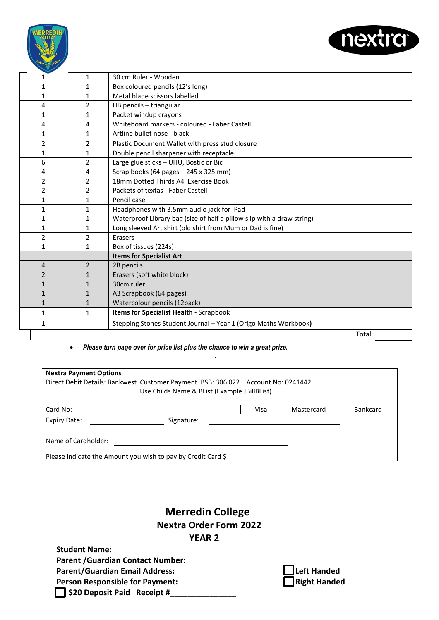



| <b>Nextra Payment Options</b>                                                    |                                              |                    |                 |
|----------------------------------------------------------------------------------|----------------------------------------------|--------------------|-----------------|
| Direct Debit Details: Bankwest Customer Payment BSB: 306 022 Account No: 0241442 | Use Childs Name & BList (Example JBillBList) |                    |                 |
| Card No:                                                                         |                                              | Visa<br>Mastercard | <b>Bankcard</b> |
| Expiry Date:                                                                     | Signature:                                   |                    |                 |
| Name of Cardholder:                                                              |                                              |                    |                 |
| Please indicate the Amount you wish to pay by Credit Card \$                     |                                              |                    |                 |

*.* 

## **Merredin College Nextra Order Form 2022 YEAR 2**

**Student Name: Parent /Guardian Contact Number: Parent/Guardian Email Address: Person Responsible for Payment: \$20 Deposit Paid Receipt #\_\_\_\_\_\_\_\_\_\_\_\_\_\_\_**

| $\Box$ Left Handed |
|--------------------|
| Right Handed       |

Total

nextr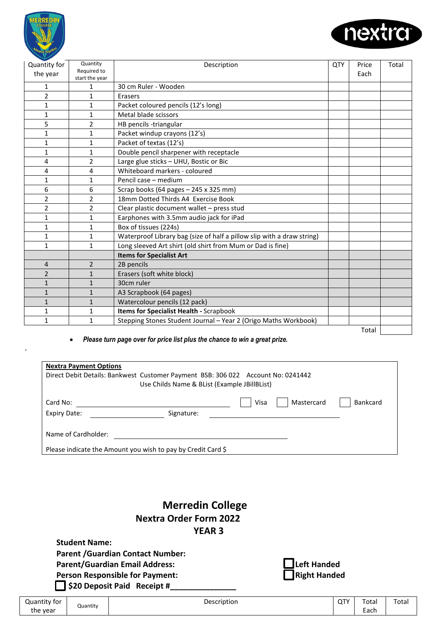

*.* 



| Quantity for   | Quantity                      | Description                                                            | QTY | Price | Total |
|----------------|-------------------------------|------------------------------------------------------------------------|-----|-------|-------|
| the year       | Required to<br>start the year |                                                                        |     | Each  |       |
| 1              | 1                             | 30 cm Ruler - Wooden                                                   |     |       |       |
| $\overline{2}$ | $\mathbf{1}$                  | Erasers                                                                |     |       |       |
| $\mathbf{1}$   | 1                             | Packet coloured pencils (12's long)                                    |     |       |       |
| $\mathbf{1}$   | $\mathbf 1$                   | Metal blade scissors                                                   |     |       |       |
| 5              | 2                             | HB pencils -triangular                                                 |     |       |       |
| $\mathbf{1}$   | $\mathbf 1$                   | Packet windup crayons (12's)                                           |     |       |       |
| $\mathbf{1}$   | 1                             | Packet of textas (12's)                                                |     |       |       |
| $\mathbf{1}$   | 1                             | Double pencil sharpener with receptacle                                |     |       |       |
| 4              | $\overline{2}$                | Large glue sticks - UHU, Bostic or Bic                                 |     |       |       |
| 4              | 4                             | Whiteboard markers - coloured                                          |     |       |       |
| $\mathbf{1}$   | 1                             | Pencil case - medium                                                   |     |       |       |
| 6              | 6                             | Scrap books (64 pages - 245 x 325 mm)                                  |     |       |       |
| $\overline{2}$ | $\overline{2}$                | 18mm Dotted Thirds A4 Exercise Book                                    |     |       |       |
| $\overline{2}$ | $\overline{2}$                | Clear plastic document wallet - press stud                             |     |       |       |
| $\mathbf{1}$   | $\mathbf{1}$                  | Earphones with 3.5mm audio jack for iPad                               |     |       |       |
| $\mathbf{1}$   | $\mathbf 1$                   | Box of tissues (224s)                                                  |     |       |       |
| $\mathbf{1}$   | 1                             | Waterproof Library bag (size of half a pillow slip with a draw string) |     |       |       |
| $\mathbf{1}$   | $\mathbf{1}$                  | Long sleeved Art shirt (old shirt from Mum or Dad is fine)             |     |       |       |
|                |                               | <b>Items for Specialist Art</b>                                        |     |       |       |
| 4              | 2                             | 2B pencils                                                             |     |       |       |
| $\overline{2}$ | $\mathbf{1}$                  | Erasers (soft white block)                                             |     |       |       |
| $\mathbf{1}$   | $\mathbf{1}$                  | 30cm ruler                                                             |     |       |       |
| $\mathbf{1}$   | $\mathbf{1}$                  | A3 Scrapbook (64 pages)                                                |     |       |       |
| $\mathbf{1}$   | $\mathbf{1}$                  | Watercolour pencils (12 pack)                                          |     |       |       |
| $\mathbf{1}$   | 1                             | Items for Specialist Health - Scrapbook                                |     |       |       |
| $\mathbf{1}$   | $\mathbf 1$                   | Stepping Stones Student Journal - Year 2 (Origo Maths Workbook)        |     |       |       |
|                |                               |                                                                        |     | Total |       |

#### • *Please turn page over for price list plus the chance to win a great prize.*

| <b>Nextra Payment Options</b>                                                    |                                              |      |            |                 |
|----------------------------------------------------------------------------------|----------------------------------------------|------|------------|-----------------|
| Direct Debit Details: Bankwest Customer Payment BSB: 306 022 Account No: 0241442 | Use Childs Name & BList (Example JBillBList) |      |            |                 |
| Card No:                                                                         |                                              | Visa | Mastercard | <b>Bankcard</b> |
| Expiry Date:                                                                     | Signature:                                   |      |            |                 |
| Name of Cardholder:                                                              |                                              |      |            |                 |
| Please indicate the Amount you wish to pay by Credit Card \$                     |                                              |      |            |                 |

## **Merredin College Nextra Order Form 2022 YEAR 3**

**Student Name: Parent /Guardian Contact Number: Parent/Guardian Email Address: Person Responsible for Payment: \$20 Deposit Paid Receipt #\_\_\_\_\_\_\_\_\_\_\_\_\_\_\_**

| Left Handed  |
|--------------|
| Right Handed |

| .<br>Description<br>Quantity for<br>Quantity<br>the year | QT۱ | Total<br>-<br>-nob<br><b>EdUI</b> | Tota <sub>1</sub> |
|----------------------------------------------------------|-----|-----------------------------------|-------------------|
|----------------------------------------------------------|-----|-----------------------------------|-------------------|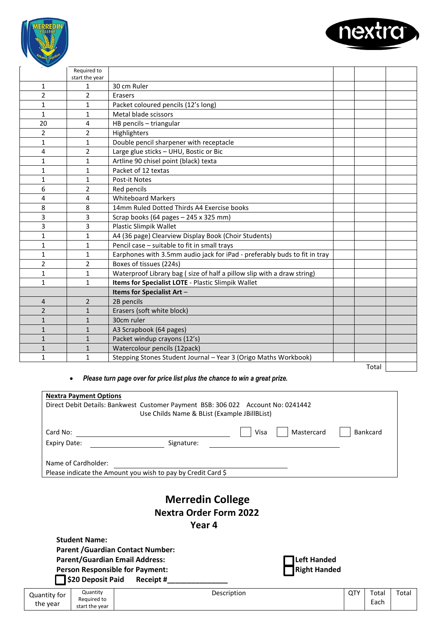



|                | Required to    |                                                                           |       |  |
|----------------|----------------|---------------------------------------------------------------------------|-------|--|
|                | start the year |                                                                           |       |  |
| $\mathbf{1}$   | $\mathbf{1}$   | 30 cm Ruler                                                               |       |  |
| $\overline{2}$ | $\overline{2}$ | Erasers                                                                   |       |  |
| 1              | 1              | Packet coloured pencils (12's long)                                       |       |  |
| $\mathbf{1}$   | $\mathbf{1}$   | Metal blade scissors                                                      |       |  |
| 20             | 4              | HB pencils - triangular                                                   |       |  |
| $\overline{2}$ | $\overline{2}$ | Highlighters                                                              |       |  |
| 1              | 1              | Double pencil sharpener with receptacle                                   |       |  |
| 4              | $\overline{2}$ | Large glue sticks - UHU, Bostic or Bic                                    |       |  |
| $\mathbf{1}$   | 1              | Artline 90 chisel point (black) texta                                     |       |  |
| 1              | $\mathbf{1}$   | Packet of 12 textas                                                       |       |  |
| 1              | 1              | Post-it Notes                                                             |       |  |
| 6              | $\overline{2}$ | Red pencils                                                               |       |  |
| 4              | 4              | <b>Whiteboard Markers</b>                                                 |       |  |
| 8              | 8              | 14mm Ruled Dotted Thirds A4 Exercise books                                |       |  |
| 3              | 3              | Scrap books (64 pages - 245 x 325 mm)                                     |       |  |
| 3              | 3              | <b>Plastic Slimpik Wallet</b>                                             |       |  |
| 1              | $\mathbf 1$    | A4 (36 page) Clearview Display Book (Choir Students)                      |       |  |
| 1              | 1              | Pencil case - suitable to fit in small trays                              |       |  |
| $\mathbf{1}$   | 1              | Earphones with 3.5mm audio jack for iPad - preferably buds to fit in tray |       |  |
| 2              | 2              | Boxes of tissues (224s)                                                   |       |  |
| $\mathbf{1}$   | $\mathbf{1}$   | Waterproof Library bag (size of half a pillow slip with a draw string)    |       |  |
| $\mathbf{1}$   | $\mathbf{1}$   | Items for Specialist LOTE - Plastic Slimpik Wallet                        |       |  |
|                |                | Items for Specialist Art -                                                |       |  |
| 4              | $\overline{2}$ | 2B pencils                                                                |       |  |
| $\overline{2}$ | $\mathbf{1}$   | Erasers (soft white block)                                                |       |  |
| $\mathbf{1}$   | $\mathbf{1}$   | 30cm ruler                                                                |       |  |
| $\mathbf{1}$   | $\mathbf{1}$   | A3 Scrapbook (64 pages)                                                   |       |  |
| $\mathbf{1}$   | $\mathbf{1}$   | Packet windup crayons (12's)                                              |       |  |
| 1              | $\mathbf{1}$   | Watercolour pencils (12pack)                                              |       |  |
| 1              | 1              | Stepping Stones Student Journal - Year 3 (Origo Maths Workbook)           |       |  |
|                |                |                                                                           | Total |  |

| <b>Nextra Payment Options</b>   | Direct Debit Details: Bankwest Customer Payment BSB: 306 022 Account No: 0241442<br>Use Childs Name & BList (Example JBillBList) |      |            |                 |
|---------------------------------|----------------------------------------------------------------------------------------------------------------------------------|------|------------|-----------------|
| Card No:<br><b>Expiry Date:</b> | Signature:                                                                                                                       | Visa | Mastercard | <b>Bankcard</b> |
| Name of Cardholder:             | Please indicate the Amount you wish to pay by Credit Card \$                                                                     |      |            |                 |

# **Merredin College Nextra Order Form 2022**

 **Year 4**

start the year

|                                        |                      |                                          | 1 CUI T     |                     |            |       |       |  |
|----------------------------------------|----------------------|------------------------------------------|-------------|---------------------|------------|-------|-------|--|
|                                        | <b>Student Name:</b> |                                          |             |                     |            |       |       |  |
|                                        |                      | <b>Parent / Guardian Contact Number:</b> |             |                     |            |       |       |  |
| <b>Parent/Guardian Email Address:</b>  |                      |                                          |             | <b>Left Handed</b>  |            |       |       |  |
| <b>Person Responsible for Payment:</b> |                      |                                          |             | <b>Right Handed</b> |            |       |       |  |
|                                        | S20 Deposit Paid     | Receipt #                                |             |                     |            |       |       |  |
| Quantity for                           | Quantity             |                                          | Description |                     | <b>QTY</b> | Total | Total |  |
| the year                               | Required to          |                                          |             |                     |            | Each  |       |  |
|                                        | start the year       |                                          |             |                     |            |       |       |  |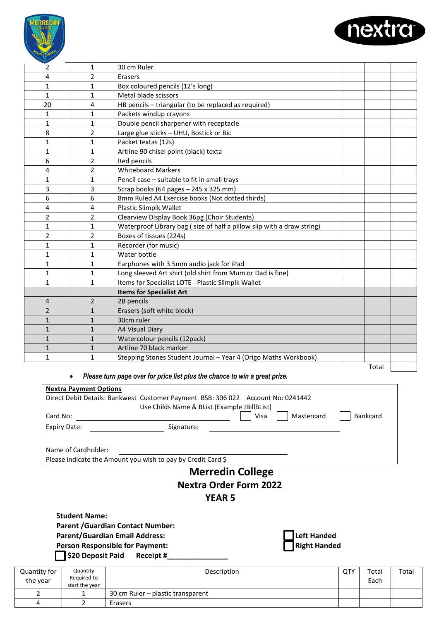



| 2              | $\mathbf{1}$   | 30 cm Ruler                                                            |       |  |
|----------------|----------------|------------------------------------------------------------------------|-------|--|
| 4              | $\overline{2}$ | Erasers                                                                |       |  |
| 1              | 1              | Box coloured pencils (12's long)                                       |       |  |
| 1              | 1              | Metal blade scissors                                                   |       |  |
| 20             | 4              | HB pencils - triangular (to be replaced as required)                   |       |  |
| 1              | 1              | Packets windup crayons                                                 |       |  |
| $\mathbf{1}$   | 1              | Double pencil sharpener with receptacle                                |       |  |
| 8              | $\overline{2}$ | Large glue sticks - UHU, Bostick or Bic                                |       |  |
| $\mathbf{1}$   | $\mathbf{1}$   | Packet textas (12s)                                                    |       |  |
| $\mathbf{1}$   | $\mathbf{1}$   | Artline 90 chisel point (black) texta                                  |       |  |
| 6              | $\overline{2}$ | Red pencils                                                            |       |  |
| 4              | $\overline{2}$ | <b>Whiteboard Markers</b>                                              |       |  |
| 1              | 1              | Pencil case - suitable to fit in small trays                           |       |  |
| 3              | 3              | Scrap books (64 pages - 245 x 325 mm)                                  |       |  |
| 6              | 6              | 8mm Ruled A4 Exercise books (Not dotted thirds)                        |       |  |
| 4              | 4              | <b>Plastic Slimpik Wallet</b>                                          |       |  |
| 2              | $\overline{2}$ | Clearview Display Book 36pg (Choir Students)                           |       |  |
| 1              | 1              | Waterproof Library bag (size of half a pillow slip with a draw string) |       |  |
| 2              | $\overline{2}$ | Boxes of tissues (224s)                                                |       |  |
| $\mathbf{1}$   | 1              | Recorder (for music)                                                   |       |  |
| 1              | 1              | Water bottle                                                           |       |  |
| $\mathbf{1}$   | 1              | Earphones with 3.5mm audio jack for iPad                               |       |  |
| $\mathbf{1}$   | $\mathbf{1}$   | Long sleeved Art shirt (old shirt from Mum or Dad is fine)             |       |  |
| $\mathbf{1}$   | $\mathbf{1}$   | Items for Specialist LOTE - Plastic Slimpik Wallet                     |       |  |
|                |                | <b>Items for Specialist Art</b>                                        |       |  |
| 4              | $\overline{2}$ | 2B pencils                                                             |       |  |
| $\overline{2}$ | $\mathbf{1}$   | Erasers (soft white block)                                             |       |  |
| $\mathbf{1}$   | $\mathbf{1}$   | 30cm ruler                                                             |       |  |
| $\mathbf{1}$   | $\mathbf{1}$   | A4 Visual Diary                                                        |       |  |
| 1              | $\mathbf{1}$   | Watercolour pencils (12pack)                                           |       |  |
| $\mathbf{1}$   | 1              | Artline 70 black marker                                                |       |  |
| $\mathbf{1}$   | 1              | Stepping Stones Student Journal - Year 4 (Origo Maths Workbook)        |       |  |
|                |                |                                                                        | Total |  |

#### • *Please turn page over for price list plus the chance to win a great prize.*

|                | <b>Nextra Payment Options</b> |                                                                                  |                     |     |          |       |
|----------------|-------------------------------|----------------------------------------------------------------------------------|---------------------|-----|----------|-------|
|                |                               | Direct Debit Details: Bankwest Customer Payment BSB: 306 022 Account No: 0241442 |                     |     |          |       |
|                |                               | Use Childs Name & BList (Example JBillBList)                                     |                     |     |          |       |
| Card No:       |                               | Visa                                                                             | Mastercard          |     | Bankcard |       |
|                | <b>Expiry Date:</b>           | Signature:                                                                       |                     |     |          |       |
|                | Name of Cardholder:           |                                                                                  |                     |     |          |       |
|                |                               | Please indicate the Amount you wish to pay by Credit Card \$                     |                     |     |          |       |
|                |                               | <b>Merredin College</b>                                                          |                     |     |          |       |
|                |                               | <b>Nextra Order Form 2022</b>                                                    |                     |     |          |       |
|                |                               | <b>YEAR 5</b>                                                                    |                     |     |          |       |
|                | <b>Student Name:</b>          |                                                                                  |                     |     |          |       |
|                |                               | <b>Parent / Guardian Contact Number:</b>                                         |                     |     |          |       |
|                |                               | <b>Parent/Guardian Email Address:</b>                                            | Left Handed         |     |          |       |
|                |                               | <b>Person Responsible for Payment:</b>                                           | <b>Right Handed</b> |     |          |       |
|                |                               | \$20 Deposit Paid Receipt #                                                      |                     |     |          |       |
| Quantity for   | Quantity                      | Description                                                                      |                     | QTY | Total    | Total |
| the year       | Required to<br>start the year |                                                                                  |                     |     | Each     |       |
| $\overline{2}$ | $\mathbf{1}$                  | 30 cm Ruler - plastic transparent                                                |                     |     |          |       |
| 4              | $\mathcal{P}$                 | Erasers                                                                          |                     |     |          |       |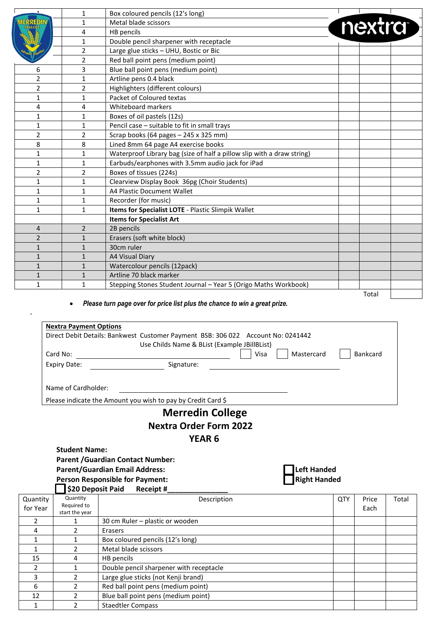|                | $\mathbf{1}$   | Box coloured pencils (12's long)                                       |        |  |
|----------------|----------------|------------------------------------------------------------------------|--------|--|
|                | $\mathbf{1}$   | Metal blade scissors                                                   | nextra |  |
|                | 4              | HB pencils                                                             |        |  |
|                | $\mathbf{1}$   | Double pencil sharpener with receptacle                                |        |  |
|                | $\overline{2}$ | Large glue sticks - UHU, Bostic or Bic                                 |        |  |
|                | $\overline{2}$ | Red ball point pens (medium point)                                     |        |  |
| 6              | 3              | Blue ball point pens (medium point)                                    |        |  |
| 2              | $\mathbf{1}$   | Artline pens 0.4 black                                                 |        |  |
| 2              | $\overline{2}$ | Highlighters (different colours)                                       |        |  |
| 1              | $\mathbf{1}$   | Packet of Coloured textas                                              |        |  |
| 4              | 4              | Whiteboard markers                                                     |        |  |
| $\mathbf{1}$   | $\mathbf{1}$   | Boxes of oil pastels (12s)                                             |        |  |
| 1              | $\mathbf{1}$   | Pencil case - suitable to fit in small trays                           |        |  |
| $\overline{2}$ | $\overline{2}$ | Scrap books (64 pages - 245 x 325 mm)                                  |        |  |
| 8              | 8              | Lined 8mm 64 page A4 exercise books                                    |        |  |
| 1              | $\mathbf{1}$   | Waterproof Library bag (size of half a pillow slip with a draw string) |        |  |
| 1              | $\mathbf{1}$   | Earbuds/earphones with 3.5mm audio jack for iPad                       |        |  |
| 2              | $\overline{2}$ | Boxes of tissues (224s)                                                |        |  |
| 1              | $\mathbf{1}$   | Clearview Display Book 36pg (Choir Students)                           |        |  |
| $\mathbf{1}$   | $\mathbf{1}$   | A4 Plastic Document Wallet                                             |        |  |
| 1              | $\mathbf{1}$   | Recorder (for music)                                                   |        |  |
| 1              | $\mathbf{1}$   | Items for Specialist LOTE - Plastic Slimpik Wallet                     |        |  |
|                |                | <b>Items for Specialist Art</b>                                        |        |  |
| $\overline{4}$ | $\overline{2}$ | 2B pencils                                                             |        |  |
| $\overline{2}$ | $\mathbf{1}$   | Erasers (soft white block)                                             |        |  |
| $\mathbf{1}$   | $\mathbf{1}$   | 30cm ruler                                                             |        |  |
| $\mathbf{1}$   | $\mathbf{1}$   | <b>A4 Visual Diary</b>                                                 |        |  |
| $\mathbf{1}$   | $\mathbf{1}$   | Watercolour pencils (12pack)                                           |        |  |
| $\mathbf{1}$   | $\mathbf{1}$   | Artline 70 black marker                                                |        |  |
| 1              | $\mathbf{1}$   | Stepping Stones Student Journal - Year 5 (Origo Maths Workbook)        |        |  |
|                |                |                                                                        | Total  |  |

*.*

|          | <b>Nextra Payment Options</b> |                                                                                  |      |                     |            |                 |       |
|----------|-------------------------------|----------------------------------------------------------------------------------|------|---------------------|------------|-----------------|-------|
|          |                               | Direct Debit Details: Bankwest Customer Payment BSB: 306 022 Account No: 0241442 |      |                     |            |                 |       |
|          |                               | Use Childs Name & BList (Example JBillBList)                                     |      |                     |            |                 |       |
|          | Card No:                      |                                                                                  | Visa | Mastercard          |            | <b>Bankcard</b> |       |
|          | <b>Expiry Date:</b>           | Signature:                                                                       |      |                     |            |                 |       |
|          | Name of Cardholder:           |                                                                                  |      |                     |            |                 |       |
|          |                               | Please indicate the Amount you wish to pay by Credit Card \$                     |      |                     |            |                 |       |
|          |                               | <b>Merredin College</b>                                                          |      |                     |            |                 |       |
|          |                               | <b>Nextra Order Form 2022</b>                                                    |      |                     |            |                 |       |
|          |                               | <b>YEAR 6</b>                                                                    |      |                     |            |                 |       |
|          | <b>Student Name:</b>          |                                                                                  |      |                     |            |                 |       |
|          |                               | <b>Parent / Guardian Contact Number:</b>                                         |      |                     |            |                 |       |
|          |                               | <b>Parent/Guardian Email Address:</b>                                            |      | Left Handed         |            |                 |       |
|          |                               | <b>Person Responsible for Payment:</b>                                           |      | <b>Right Handed</b> |            |                 |       |
|          | \$20 Deposit Paid             | Receipt#                                                                         |      |                     |            |                 |       |
| Quantity | Quantity                      | Description                                                                      |      |                     | <b>QTY</b> | Price           | Total |
| for Year | Required to<br>start the year |                                                                                  |      |                     |            | Each            |       |
|          | $\mathbf{1}$                  | 30 cm Ruler - plastic or wooden                                                  |      |                     |            |                 |       |
|          | $\overline{2}$                | Erasers                                                                          |      |                     |            |                 |       |
|          | $\mathbf{1}$                  | Box coloured pencils (12's long)                                                 |      |                     |            |                 |       |
|          |                               |                                                                                  |      |                     |            |                 |       |

|    | <b>30 CITERAIGE DIASLIC OF WOODLIT</b>  |  |  |
|----|-----------------------------------------|--|--|
|    | Erasers                                 |  |  |
|    | Box coloured pencils (12's long)        |  |  |
|    | Metal blade scissors                    |  |  |
| 15 | HB pencils                              |  |  |
|    | Double pencil sharpener with receptacle |  |  |
|    | Large glue sticks (not Kenji brand)     |  |  |
| 6  | Red ball point pens (medium point)      |  |  |
| 12 | Blue ball point pens (medium point)     |  |  |
|    | <b>Staedtler Compass</b>                |  |  |